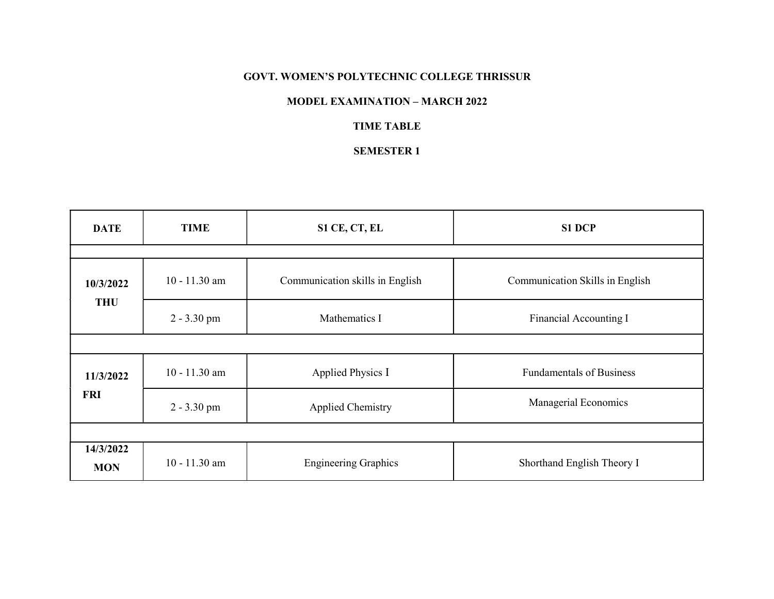#### GOVT. WOMEN'S POLYTECHNIC COLLEGE THRISSUR

### MODEL EXAMINATION – MARCH 2022

### TIME TABLE

### SEMESTER 1

| <b>DATE</b>             | <b>TIME</b>     | S1 CE, CT, EL                   | <b>S1 DCP</b>                   |
|-------------------------|-----------------|---------------------------------|---------------------------------|
|                         |                 |                                 |                                 |
| 10/3/2022<br><b>THU</b> | $10 - 11.30$ am | Communication skills in English | Communication Skills in English |
|                         | $2 - 3.30$ pm   | Mathematics I                   | Financial Accounting I          |
|                         |                 |                                 |                                 |
| 11/3/2022<br><b>FRI</b> | $10 - 11.30$ am | Applied Physics I               | <b>Fundamentals of Business</b> |
|                         | $2 - 3.30$ pm   | <b>Applied Chemistry</b>        | Managerial Economics            |
|                         |                 |                                 |                                 |
| 14/3/2022<br><b>MON</b> | $10 - 11.30$ am | <b>Engineering Graphics</b>     | Shorthand English Theory I      |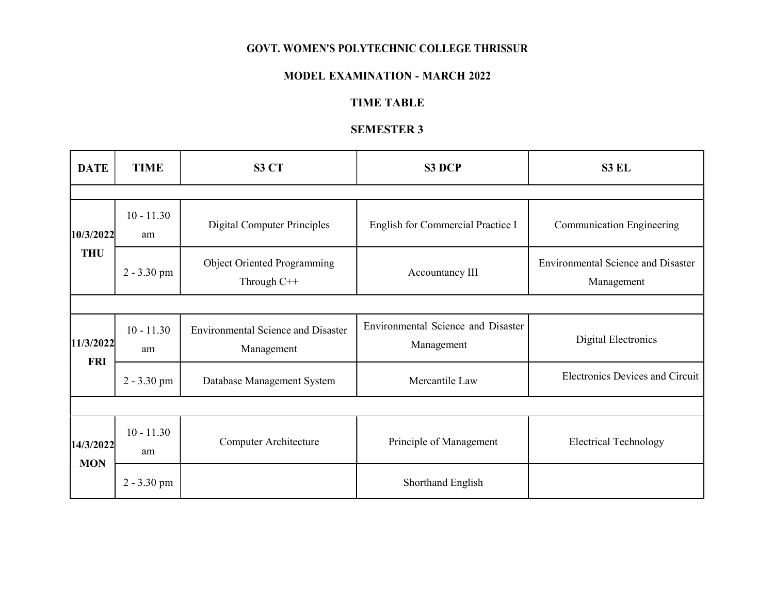## GOVT. WOMEN'S POLYTECHNIC COLLEGE THRISSUR

## MODEL EXAMINATION - MARCH 2022

# TIME TABLE

# SEMESTER 3

| <b>DATE</b>             | <b>TIME</b>        | S3 CT                                                   | S3 DCP                                           | S3 EL                                                   |  |  |  |
|-------------------------|--------------------|---------------------------------------------------------|--------------------------------------------------|---------------------------------------------------------|--|--|--|
|                         |                    |                                                         |                                                  |                                                         |  |  |  |
| 10/3/2022<br><b>THU</b> | $10 - 11.30$<br>am | <b>Digital Computer Principles</b>                      | English for Commercial Practice I                | Communication Engineering                               |  |  |  |
|                         | $2 - 3.30$ pm      | <b>Object Oriented Programming</b><br>Through C++       | Accountancy III                                  | <b>Environmental Science and Disaster</b><br>Management |  |  |  |
|                         |                    |                                                         |                                                  |                                                         |  |  |  |
| 11/3/2022<br><b>FRI</b> | $10 - 11.30$<br>am | <b>Environmental Science and Disaster</b><br>Management | Environmental Science and Disaster<br>Management | Digital Electronics                                     |  |  |  |
|                         | $2 - 3.30$ pm      | Database Management System                              | Mercantile Law                                   | <b>Electronics Devices and Circuit</b>                  |  |  |  |
|                         |                    |                                                         |                                                  |                                                         |  |  |  |
| 14/3/2022<br><b>MON</b> | $10 - 11.30$<br>am | Computer Architecture                                   | Principle of Management                          | <b>Electrical Technology</b>                            |  |  |  |
|                         | $2 - 3.30$ pm      |                                                         | Shorthand English                                |                                                         |  |  |  |